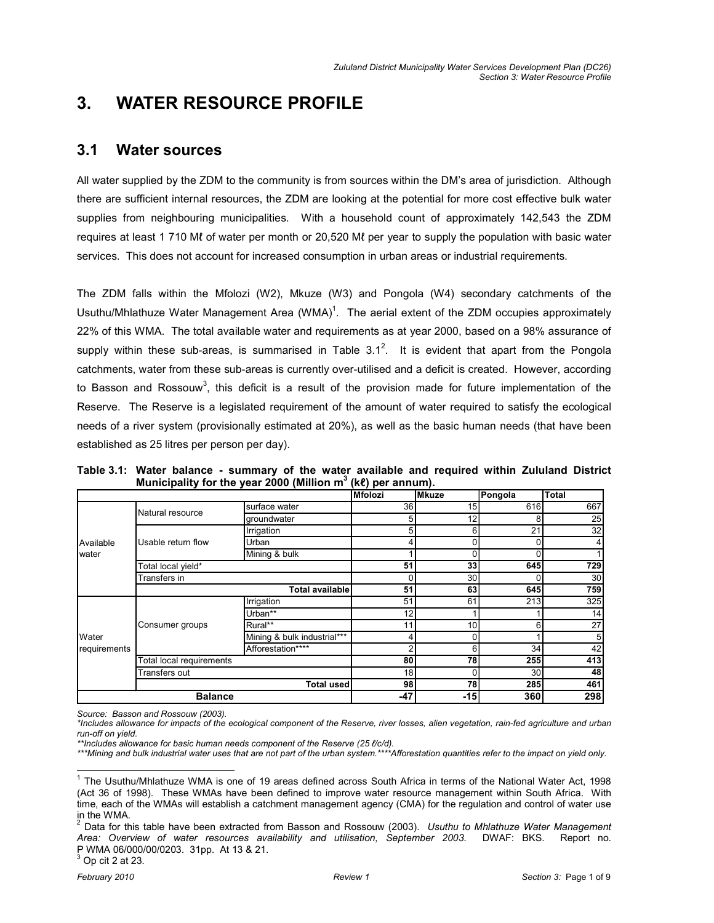# 3. WATER RESOURCE PROFILE

## 3.1 Water sources

All water supplied by the ZDM to the community is from sources within the DM's area of jurisdiction. Although there are sufficient internal resources, the ZDM are looking at the potential for more cost effective bulk water supplies from neighbouring municipalities. With a household count of approximately 142,543 the ZDM requires at least 1 710 Mℓ of water per month or 20,520 Mℓ per year to supply the population with basic water services. This does not account for increased consumption in urban areas or industrial requirements.

The ZDM falls within the Mfolozi (W2), Mkuze (W3) and Pongola (W4) secondary catchments of the Usuthu/Mhlathuze Water Management Area (WMA)<sup>1</sup>. The aerial extent of the ZDM occupies approximately 22% of this WMA. The total available water and requirements as at year 2000, based on a 98% assurance of supply within these sub-areas, is summarised in Table 3.1<sup>2</sup>. It is evident that apart from the Pongola catchments, water from these sub-areas is currently over-utilised and a deficit is created. However, according to Basson and Rossouw<sup>3</sup>, this deficit is a result of the provision made for future implementation of the Reserve. The Reserve is a legislated requirement of the amount of water required to satisfy the ecological needs of a river system (provisionally estimated at 20%), as well as the basic human needs (that have been established as 25 litres per person per day).

|                       |                                 |                             | <b>Mfolozi</b> | <b>Mkuze</b>   | Pongola    | <b>Total</b> |
|-----------------------|---------------------------------|-----------------------------|----------------|----------------|------------|--------------|
|                       | Natural resource                | surface water               | 36             | 15             | 616        | 667          |
|                       |                                 | groundwater                 | 5              | 12             | 8          | 25           |
|                       |                                 | Irrigation                  | 5              | 6 <sup>1</sup> | 21         | 32           |
| Available             | Usable return flow              | Urban                       | 4              | 0              | 0          |              |
| water                 |                                 | Mining & bulk               |                | 0              |            |              |
|                       | Total local vield*              |                             | 51             | 33             | 645        | 729          |
|                       | <b>Transfers</b> in             |                             | 0              | 30             |            | 30           |
|                       |                                 | <b>Total available</b>      | 51             | 63             | 645        | 759          |
| Water<br>requirements | Consumer groups                 | Irrigation                  | 51             | 61             | 213        | 325          |
|                       |                                 | Urban**                     | 12             |                |            | 14           |
|                       |                                 | Rural**                     | 11             | 10             | 6          | 27           |
|                       |                                 | Mining & bulk industrial*** |                | 0              |            | 5            |
|                       |                                 | Afforestation****           | ົ              | 6              | 34         | 42           |
|                       | <b>Total local requirements</b> |                             | 80             | 78             | <b>255</b> | 413          |
|                       | Transfers out                   | 18                          | 0              | 30             | 48         |              |
|                       | Total usedİ                     |                             | 98             | 78             | 285        | 461          |
| <b>Balance</b>        |                                 |                             | $-47$          | $-15$          | 360        | 298          |

Table 3.1: Water balance - summary of the water available and required within Zululand District Municipality for the year 2000 (Million m<sup>3</sup> (kℓ) per annum).

Source: Basson and Rossouw (2003).

\*Includes allowance for impacts of the ecological component of the Reserve, river losses, alien vegetation, rain-fed agriculture and urban run-off on yield.

\*\*Includes allowance for basic human needs component of the Reserve (25 *t/c/d)*.

\*\*\*Mining and bulk industrial water uses that are not part of the urban system.\*\*\*\*Afforestation quantities refer to the impact on yield only.

 1 The Usuthu/Mhlathuze WMA is one of 19 areas defined across South Africa in terms of the National Water Act, 1998 (Act 36 of 1998). These WMAs have been defined to improve water resource management within South Africa. With time, each of the WMAs will establish a catchment management agency (CMA) for the regulation and control of water use in the WMA.

<sup>2</sup> Data for this table have been extracted from Basson and Rossouw (2003). Usuthu to Mhlathuze Water Management Area: Overview of water resources availability and utilisation, September 2003. DWAF: BKS. Report no. P WMA 06/000/00/0203. 31pp. At 13 & 21. 3 Op cit 2 at 23.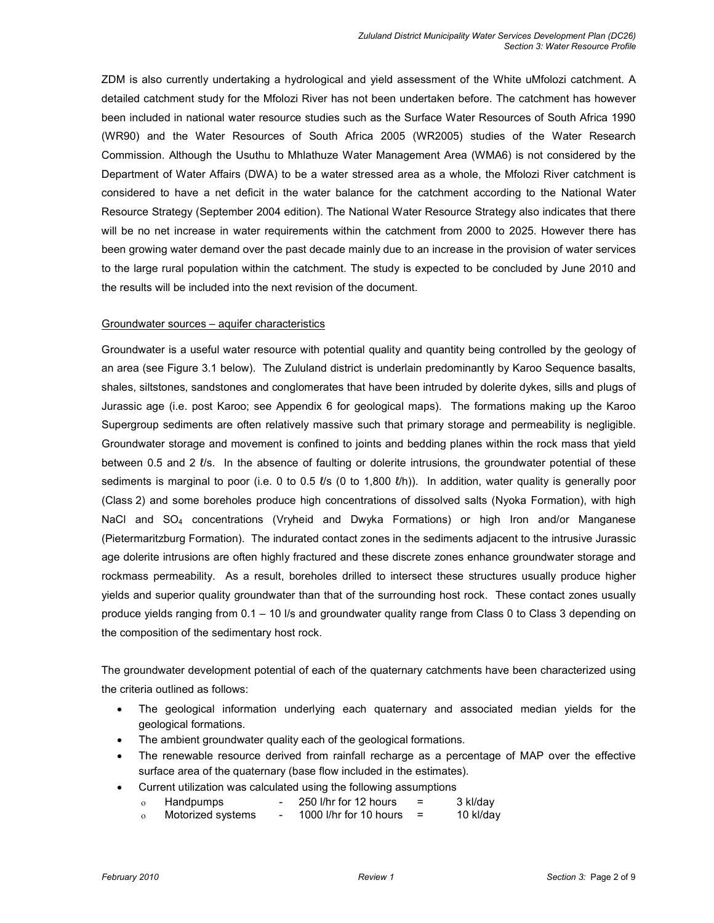ZDM is also currently undertaking a hydrological and yield assessment of the White uMfolozi catchment. A detailed catchment study for the Mfolozi River has not been undertaken before. The catchment has however been included in national water resource studies such as the Surface Water Resources of South Africa 1990 (WR90) and the Water Resources of South Africa 2005 (WR2005) studies of the Water Research Commission. Although the Usuthu to Mhlathuze Water Management Area (WMA6) is not considered by the Department of Water Affairs (DWA) to be a water stressed area as a whole, the Mfolozi River catchment is considered to have a net deficit in the water balance for the catchment according to the National Water Resource Strategy (September 2004 edition). The National Water Resource Strategy also indicates that there will be no net increase in water requirements within the catchment from 2000 to 2025. However there has been growing water demand over the past decade mainly due to an increase in the provision of water services to the large rural population within the catchment. The study is expected to be concluded by June 2010 and the results will be included into the next revision of the document.

#### Groundwater sources – aquifer characteristics

Groundwater is a useful water resource with potential quality and quantity being controlled by the geology of an area (see Figure 3.1 below). The Zululand district is underlain predominantly by Karoo Sequence basalts, shales, siltstones, sandstones and conglomerates that have been intruded by dolerite dykes, sills and plugs of Jurassic age (i.e. post Karoo; see Appendix 6 for geological maps). The formations making up the Karoo Supergroup sediments are often relatively massive such that primary storage and permeability is negligible. Groundwater storage and movement is confined to joints and bedding planes within the rock mass that yield between 0.5 and 2  $\ell$ /s. In the absence of faulting or dolerite intrusions, the groundwater potential of these sediments is marginal to poor (i.e. 0 to 0.5  $\ell$ s (0 to 1,800  $\ell$ /h)). In addition, water quality is generally poor (Class 2) and some boreholes produce high concentrations of dissolved salts (Nyoka Formation), with high NaCl and SO<sub>4</sub> concentrations (Vryheid and Dwyka Formations) or high Iron and/or Manganese (Pietermaritzburg Formation). The indurated contact zones in the sediments adjacent to the intrusive Jurassic age dolerite intrusions are often highly fractured and these discrete zones enhance groundwater storage and rockmass permeability. As a result, boreholes drilled to intersect these structures usually produce higher yields and superior quality groundwater than that of the surrounding host rock. These contact zones usually produce yields ranging from 0.1 – 10 l/s and groundwater quality range from Class 0 to Class 3 depending on the composition of the sedimentary host rock.

The groundwater development potential of each of the quaternary catchments have been characterized using the criteria outlined as follows:

- The geological information underlying each quaternary and associated median yields for the geological formations.
- The ambient groundwater quality each of the geological formations.
- The renewable resource derived from rainfall recharge as a percentage of MAP over the effective surface area of the quaternary (base flow included in the estimates).
- Current utilization was calculated using the following assumptions
	- ο Handpumps 250 l/hr for 12 hours = 3 kl/day
	- ο Motorized systems 1000 l/hr for 10 hours = 10 kl/day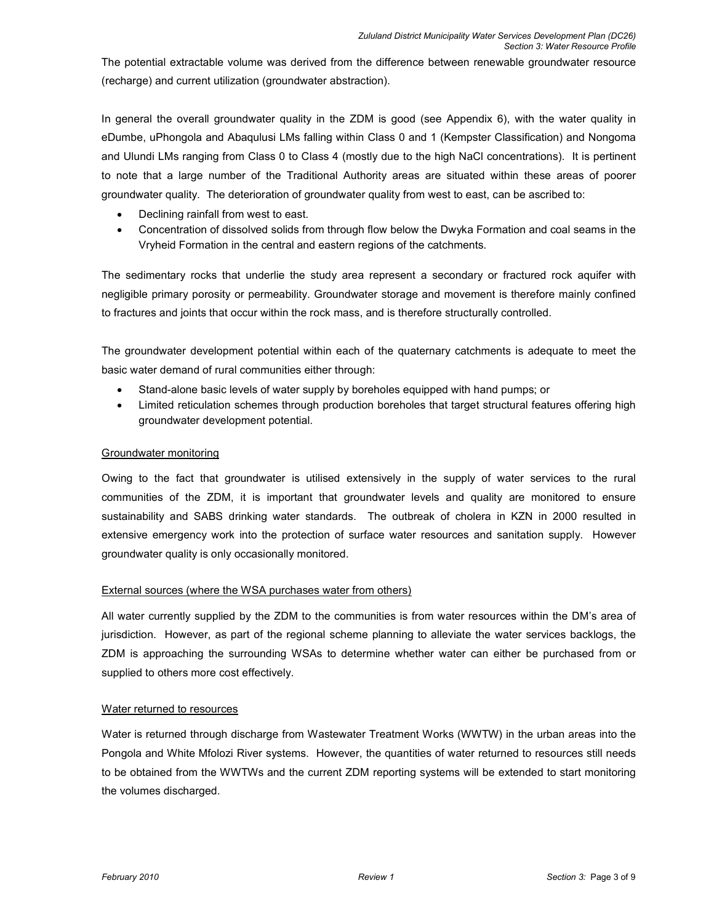The potential extractable volume was derived from the difference between renewable groundwater resource (recharge) and current utilization (groundwater abstraction).

In general the overall groundwater quality in the ZDM is good (see Appendix 6), with the water quality in eDumbe, uPhongola and Abaqulusi LMs falling within Class 0 and 1 (Kempster Classification) and Nongoma and Ulundi LMs ranging from Class 0 to Class 4 (mostly due to the high NaCl concentrations). It is pertinent to note that a large number of the Traditional Authority areas are situated within these areas of poorer groundwater quality. The deterioration of groundwater quality from west to east, can be ascribed to:

- Declining rainfall from west to east.
- Concentration of dissolved solids from through flow below the Dwyka Formation and coal seams in the Vryheid Formation in the central and eastern regions of the catchments.

The sedimentary rocks that underlie the study area represent a secondary or fractured rock aquifer with negligible primary porosity or permeability. Groundwater storage and movement is therefore mainly confined to fractures and joints that occur within the rock mass, and is therefore structurally controlled.

The groundwater development potential within each of the quaternary catchments is adequate to meet the basic water demand of rural communities either through:

- Stand-alone basic levels of water supply by boreholes equipped with hand pumps; or
- Limited reticulation schemes through production boreholes that target structural features offering high groundwater development potential.

#### Groundwater monitoring

Owing to the fact that groundwater is utilised extensively in the supply of water services to the rural communities of the ZDM, it is important that groundwater levels and quality are monitored to ensure sustainability and SABS drinking water standards. The outbreak of cholera in KZN in 2000 resulted in extensive emergency work into the protection of surface water resources and sanitation supply. However groundwater quality is only occasionally monitored.

#### External sources (where the WSA purchases water from others)

All water currently supplied by the ZDM to the communities is from water resources within the DM's area of jurisdiction. However, as part of the regional scheme planning to alleviate the water services backlogs, the ZDM is approaching the surrounding WSAs to determine whether water can either be purchased from or supplied to others more cost effectively.

#### Water returned to resources

Water is returned through discharge from Wastewater Treatment Works (WWTW) in the urban areas into the Pongola and White Mfolozi River systems. However, the quantities of water returned to resources still needs to be obtained from the WWTWs and the current ZDM reporting systems will be extended to start monitoring the volumes discharged.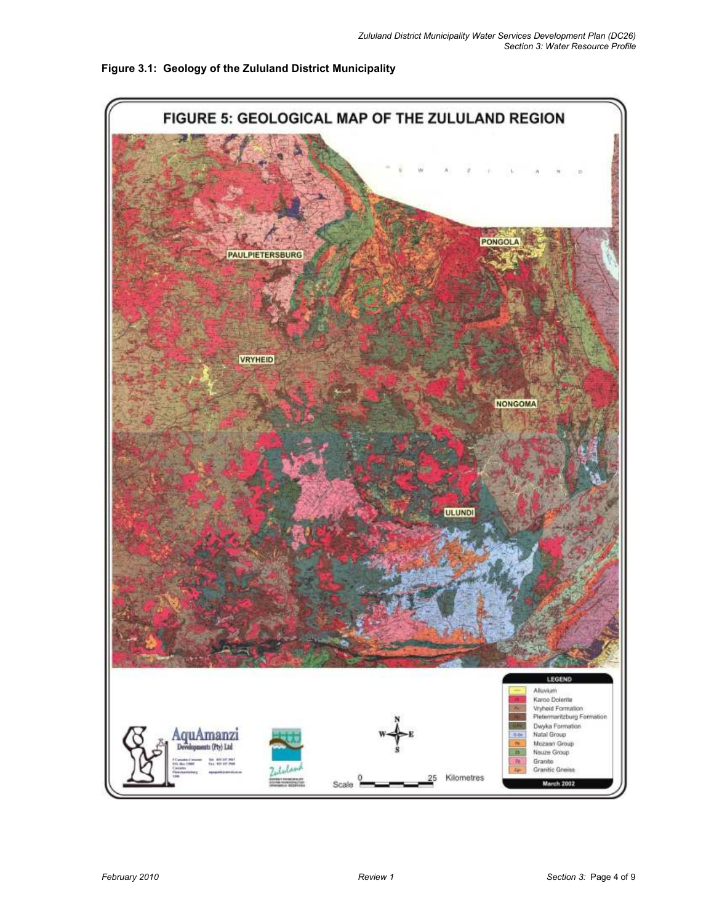

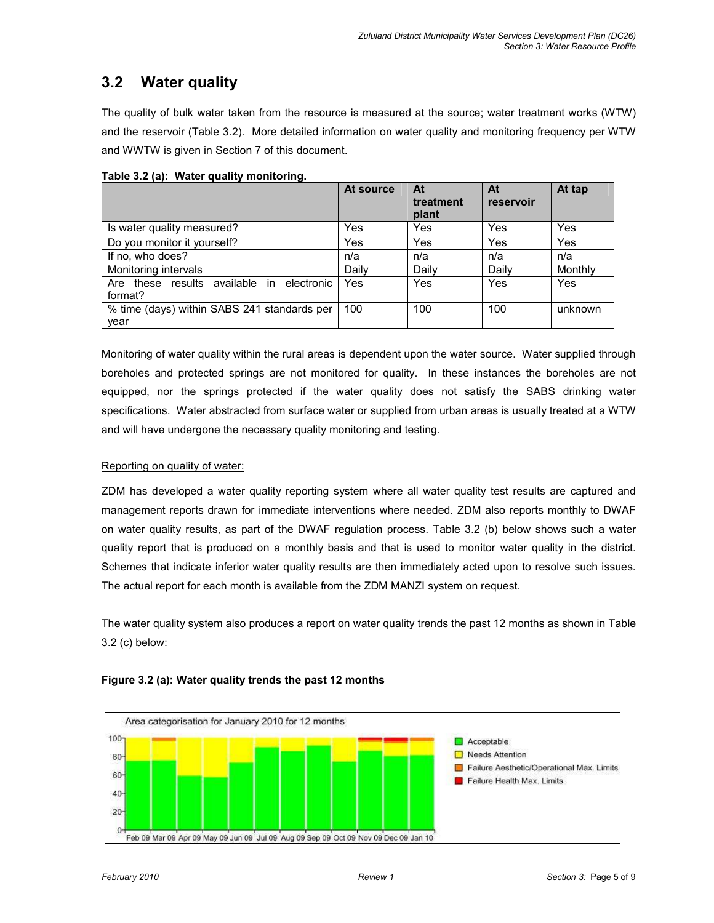# 3.2 Water quality

The quality of bulk water taken from the resource is measured at the source; water treatment works (WTW) and the reservoir (Table 3.2). More detailed information on water quality and monitoring frequency per WTW and WWTW is given in Section 7 of this document.

|                                                      | At source | At<br>treatment<br>plant | At<br>reservoir | At tap  |
|------------------------------------------------------|-----------|--------------------------|-----------------|---------|
| Is water quality measured?                           | Yes       | Yes                      | Yes             | Yes     |
| Do you monitor it yourself?                          | Yes       | Yes                      | Yes             | Yes     |
| If no, who does?                                     | n/a       | n/a                      | n/a             | n/a     |
| Monitoring intervals                                 | Daily     | Daily                    | Daily           | Monthly |
| Are these results available in electronic<br>format? | Yes       | Yes                      | Yes             | Yes     |
| % time (days) within SABS 241 standards per<br>vear  | 100       | 100                      | 100             | unknown |

Table 3.2 (a): Water quality monitoring.

Monitoring of water quality within the rural areas is dependent upon the water source. Water supplied through boreholes and protected springs are not monitored for quality. In these instances the boreholes are not equipped, nor the springs protected if the water quality does not satisfy the SABS drinking water specifications. Water abstracted from surface water or supplied from urban areas is usually treated at a WTW and will have undergone the necessary quality monitoring and testing.

### Reporting on quality of water:

ZDM has developed a water quality reporting system where all water quality test results are captured and management reports drawn for immediate interventions where needed. ZDM also reports monthly to DWAF on water quality results, as part of the DWAF regulation process. Table 3.2 (b) below shows such a water quality report that is produced on a monthly basis and that is used to monitor water quality in the district. Schemes that indicate inferior water quality results are then immediately acted upon to resolve such issues. The actual report for each month is available from the ZDM MANZI system on request.

The water quality system also produces a report on water quality trends the past 12 months as shown in Table 3.2 (c) below:



#### Figure 3.2 (a): Water quality trends the past 12 months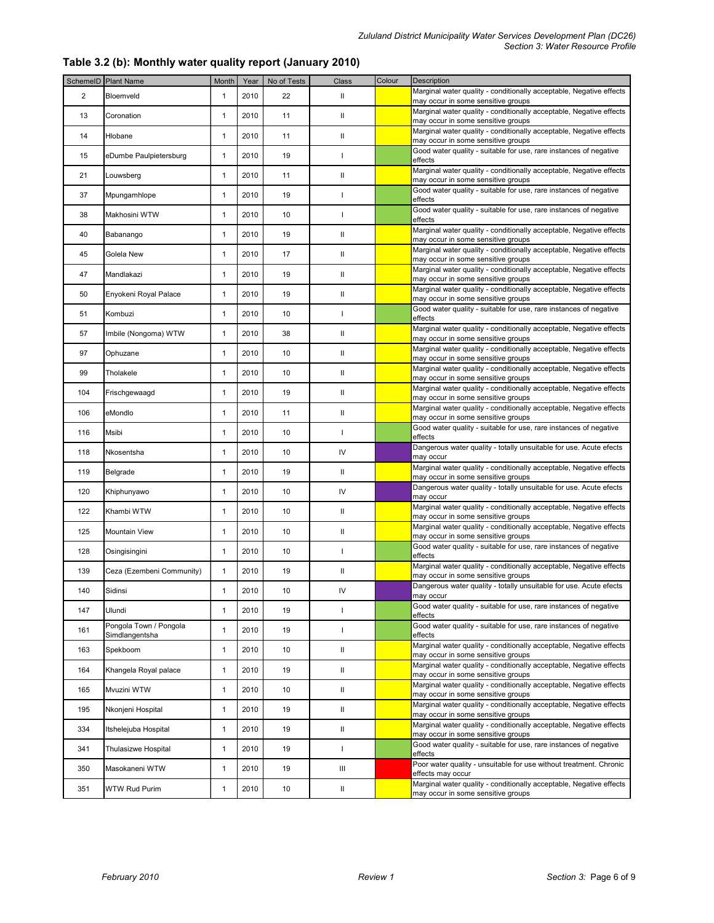## Table 3.2 (b): Monthly water quality report (January 2010)

|                | SchemelD Plant Name                      | Month        | Year | No of Tests | <b>Class</b>             | Colour | <b>Description</b>                                                                                        |
|----------------|------------------------------------------|--------------|------|-------------|--------------------------|--------|-----------------------------------------------------------------------------------------------------------|
| $\overline{2}$ | Bloemveld                                | 1            | 2010 | 22          | Ш                        |        | Marginal water quality - conditionally acceptable, Negative effects<br>may occur in some sensitive groups |
| 13             | Coronation                               | 1            | 2010 | 11          | $\mathsf{II}$            |        | Marginal water quality - conditionally acceptable, Negative effects<br>may occur in some sensitive groups |
| 14             | Hlobane                                  | $\mathbf{1}$ | 2010 | 11          | Ш                        |        | Marginal water quality - conditionally acceptable, Negative effects<br>may occur in some sensitive groups |
| 15             | eDumbe Paulpietersburg                   | $\mathbf{1}$ | 2010 | 19          | J.                       |        | Good water quality - suitable for use, rare instances of negative<br>effects                              |
| 21             | Louwsberg                                | 1            | 2010 | 11          | $\mathsf{II}$            |        | Marginal water quality - conditionally acceptable, Negative effects<br>may occur in some sensitive groups |
| 37             | Mpungamhlope                             | 1            | 2010 | 19          | $\mathbf{I}$             |        | Good water quality - suitable for use, rare instances of negative<br>effects                              |
| 38             | Makhosini WTW                            | $\mathbf{1}$ | 2010 | 10          | J.                       |        | Good water quality - suitable for use, rare instances of negative<br>effects                              |
| 40             | Babanango                                | $\mathbf{1}$ | 2010 | 19          | $\mathbf{II}$            |        | Marginal water quality - conditionally acceptable, Negative effects<br>may occur in some sensitive groups |
| 45             | Golela New                               | $\mathbf{1}$ | 2010 | 17          | Ш                        |        | Marginal water quality - conditionally acceptable, Negative effects<br>may occur in some sensitive groups |
| 47             | Mandlakazi                               | $\mathbf{1}$ | 2010 | 19          | Ш                        |        | Marginal water quality - conditionally acceptable, Negative effects<br>may occur in some sensitive groups |
| 50             | Enyokeni Royal Palace                    | $\mathbf{1}$ | 2010 | 19          | $\mathsf{II}$            |        | Marginal water quality - conditionally acceptable, Negative effects<br>may occur in some sensitive groups |
| 51             | Kombuzi                                  | 1            | 2010 | 10          | J.                       |        | Good water quality - suitable for use, rare instances of negative<br>effects                              |
| 57             | Imbile (Nongoma) WTW                     | $\mathbf{1}$ | 2010 | 38          | Ш                        |        | Marginal water quality - conditionally acceptable, Negative effects<br>may occur in some sensitive groups |
| 97             | Ophuzane                                 | $\mathbf{1}$ | 2010 | 10          | $\mathsf{II}$            |        | Marginal water quality - conditionally acceptable, Negative effects<br>may occur in some sensitive groups |
| 99             | Tholakele                                | $\mathbf{1}$ | 2010 | 10          | Ш                        |        | Marginal water quality - conditionally acceptable, Negative effects<br>may occur in some sensitive groups |
| 104            | Frischgewaagd                            | $\mathbf{1}$ | 2010 | 19          | Ш                        |        | Marginal water quality - conditionally acceptable, Negative effects<br>may occur in some sensitive groups |
| 106            | eMondlo                                  | 1            | 2010 | 11          | $\mathsf{I}$             |        | Marginal water quality - conditionally acceptable, Negative effects<br>may occur in some sensitive groups |
| 116            | Msibi                                    | 1            | 2010 | 10          | $\mathbf{I}$             |        | Good water quality - suitable for use, rare instances of negative<br>effects                              |
| 118            | Nkosentsha                               | $\mathbf{1}$ | 2010 | 10          | IV                       |        | Dangerous water quality - totally unsuitable for use. Acute efects<br>may occur                           |
| 119            | Belgrade                                 | $\mathbf{1}$ | 2010 | 19          | Ш                        |        | Marginal water quality - conditionally acceptable, Negative effects<br>may occur in some sensitive groups |
| 120            | Khiphunyawo                              | $\mathbf{1}$ | 2010 | 10          | IV                       |        | Dangerous water quality - totally unsuitable for use. Acute efects<br>may occur                           |
| 122            | Khambi WTW                               | 1            | 2010 | 10          | Ш                        |        | Marginal water quality - conditionally acceptable, Negative effects<br>may occur in some sensitive groups |
| 125            | <b>Mountain View</b>                     | 1            | 2010 | 10          | Ш                        |        | Marginal water quality - conditionally acceptable, Negative effects<br>may occur in some sensitive groups |
| 128            | Osingisingini                            | 1            | 2010 | 10          | J.                       |        | Good water quality - suitable for use, rare instances of negative<br>effects                              |
| 139            | Ceza (Ezembeni Community)                | 1            | 2010 | 19          | Ш                        |        | Marginal water quality - conditionally acceptable, Negative effects<br>may occur in some sensitive groups |
| 140            | Sidinsi                                  | 1            | 2010 | 10          | IV                       |        | Dangerous water quality - totally unsuitable for use. Acute efects<br>may occur                           |
| 147            | Ulundi                                   | $\mathbf{1}$ | 2010 | 19          | $\overline{\phantom{a}}$ |        | Good water quality - suitable for use, rare instances of negative<br>effects                              |
| 161            | Pongola Town / Pongola<br>Simdlangentsha | $\mathbf{1}$ | 2010 | 19          | ı                        |        | Good water quality - suitable for use, rare instances of negative<br>effects                              |
| 163            | Spekboom                                 | 1            | 2010 | 10          | Ш                        |        | Marginal water quality - conditionally acceptable, Negative effects<br>may occur in some sensitive groups |
| 164            | Khangela Royal palace                    | $\mathbf{1}$ | 2010 | 19          | $\mathbf{II}$            |        | Marginal water quality - conditionally acceptable, Negative effects<br>may occur in some sensitive groups |
| 165            | Mvuzini WTW                              | 1            | 2010 | 10          | Ш                        |        | Marginal water quality - conditionally acceptable, Negative effects<br>may occur in some sensitive groups |
| 195            | Nkonjeni Hospital                        | $\mathbf{1}$ | 2010 | 19          | Ш                        |        | Marginal water quality - conditionally acceptable, Negative effects<br>may occur in some sensitive groups |
| 334            | Itshelejuba Hospital                     | $\mathbf{1}$ | 2010 | 19          | $\rm{II}$                |        | Marginal water quality - conditionally acceptable, Negative effects<br>may occur in some sensitive groups |
| 341            | Thulasizwe Hospital                      | 1            | 2010 | 19          | ı                        |        | Good water quality - suitable for use, rare instances of negative<br>effects                              |
| 350            | Masokaneni WTW                           | $\mathbf{1}$ | 2010 | 19          | Ш                        |        | Poor water quality - unsuitable for use without treatment. Chronic<br>effects may occur                   |
| 351            | WTW Rud Purim                            | 1            | 2010 | 10          | Ш                        |        | Marginal water quality - conditionally acceptable, Negative effects<br>may occur in some sensitive groups |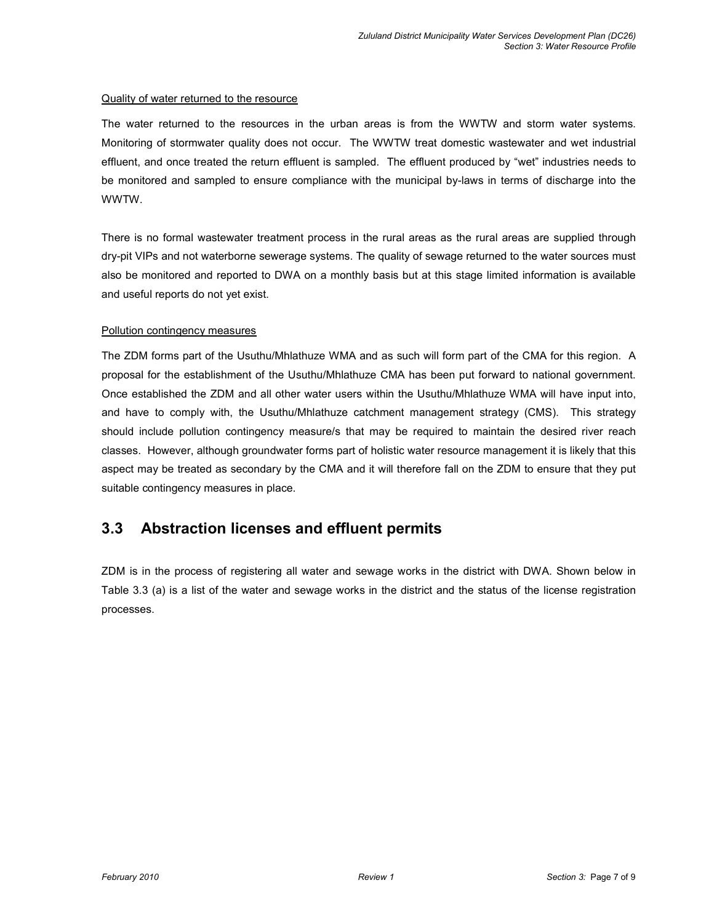#### Quality of water returned to the resource

The water returned to the resources in the urban areas is from the WWTW and storm water systems. Monitoring of stormwater quality does not occur. The WWTW treat domestic wastewater and wet industrial effluent, and once treated the return effluent is sampled. The effluent produced by "wet" industries needs to be monitored and sampled to ensure compliance with the municipal by-laws in terms of discharge into the WWTW.

There is no formal wastewater treatment process in the rural areas as the rural areas are supplied through dry-pit VIPs and not waterborne sewerage systems. The quality of sewage returned to the water sources must also be monitored and reported to DWA on a monthly basis but at this stage limited information is available and useful reports do not yet exist.

#### Pollution contingency measures

The ZDM forms part of the Usuthu/Mhlathuze WMA and as such will form part of the CMA for this region. A proposal for the establishment of the Usuthu/Mhlathuze CMA has been put forward to national government. Once established the ZDM and all other water users within the Usuthu/Mhlathuze WMA will have input into, and have to comply with, the Usuthu/Mhlathuze catchment management strategy (CMS). This strategy should include pollution contingency measure/s that may be required to maintain the desired river reach classes. However, although groundwater forms part of holistic water resource management it is likely that this aspect may be treated as secondary by the CMA and it will therefore fall on the ZDM to ensure that they put suitable contingency measures in place.

## 3.3 Abstraction licenses and effluent permits

ZDM is in the process of registering all water and sewage works in the district with DWA. Shown below in Table 3.3 (a) is a list of the water and sewage works in the district and the status of the license registration processes.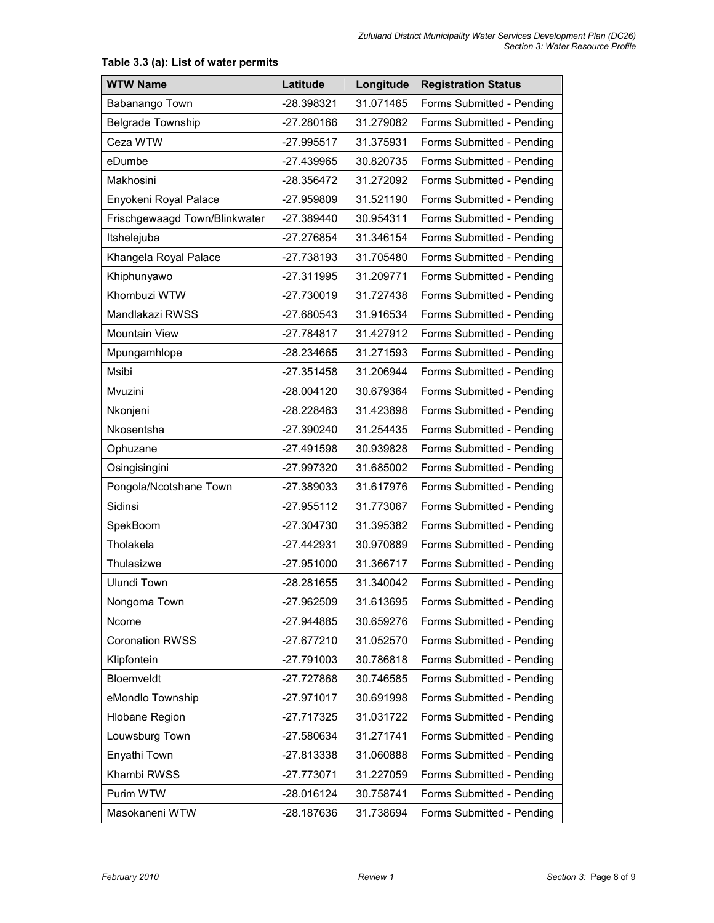| <b>WTW Name</b>               | Latitude     | Longitude | <b>Registration Status</b> |  |
|-------------------------------|--------------|-----------|----------------------------|--|
| Babanango Town                | -28.398321   | 31.071465 | Forms Submitted - Pending  |  |
| Belgrade Township             | -27.280166   | 31.279082 | Forms Submitted - Pending  |  |
| Ceza WTW                      | $-27.995517$ | 31.375931 | Forms Submitted - Pending  |  |
| eDumbe                        | -27.439965   | 30.820735 | Forms Submitted - Pending  |  |
| Makhosini                     | -28.356472   | 31.272092 | Forms Submitted - Pending  |  |
| Enyokeni Royal Palace         | -27.959809   | 31.521190 | Forms Submitted - Pending  |  |
| Frischgewaagd Town/Blinkwater | -27.389440   | 30.954311 | Forms Submitted - Pending  |  |
| Itshelejuba                   | -27.276854   | 31.346154 | Forms Submitted - Pending  |  |
| Khangela Royal Palace         | -27.738193   | 31.705480 | Forms Submitted - Pending  |  |
| Khiphunyawo                   | -27.311995   | 31.209771 | Forms Submitted - Pending  |  |
| Khombuzi WTW                  | -27.730019   | 31.727438 | Forms Submitted - Pending  |  |
| Mandlakazi RWSS               | -27.680543   | 31.916534 | Forms Submitted - Pending  |  |
| Mountain View                 | $-27.784817$ | 31.427912 | Forms Submitted - Pending  |  |
| Mpungamhlope                  | -28.234665   | 31.271593 | Forms Submitted - Pending  |  |
| Msibi                         | $-27.351458$ | 31.206944 | Forms Submitted - Pending  |  |
| Mvuzini                       | $-28.004120$ | 30.679364 | Forms Submitted - Pending  |  |
| Nkonjeni                      | -28.228463   | 31.423898 | Forms Submitted - Pending  |  |
| Nkosentsha                    | -27.390240   | 31.254435 | Forms Submitted - Pending  |  |
| Ophuzane                      | $-27.491598$ | 30.939828 | Forms Submitted - Pending  |  |
| Osingisingini                 | -27.997320   | 31.685002 | Forms Submitted - Pending  |  |
| Pongola/Ncotshane Town        | -27.389033   | 31.617976 | Forms Submitted - Pending  |  |
| Sidinsi                       | -27.955112   | 31.773067 | Forms Submitted - Pending  |  |
| SpekBoom                      | -27.304730   | 31.395382 | Forms Submitted - Pending  |  |
| Tholakela                     | $-27.442931$ | 30.970889 | Forms Submitted - Pending  |  |
| Thulasizwe                    | $-27.951000$ | 31.366717 | Forms Submitted - Pending  |  |
| Ulundi Town                   | -28.281655   | 31.340042 | Forms Submitted - Pending  |  |
| Nongoma Town                  | -27.962509   | 31.613695 | Forms Submitted - Pending  |  |
| Ncome                         | -27.944885   | 30.659276 | Forms Submitted - Pending  |  |
| <b>Coronation RWSS</b>        | -27.677210   | 31.052570 | Forms Submitted - Pending  |  |
| Klipfontein                   | -27.791003   | 30.786818 | Forms Submitted - Pending  |  |
| Bloemveldt                    | -27.727868   | 30.746585 | Forms Submitted - Pending  |  |
| eMondlo Township              | -27.971017   | 30.691998 | Forms Submitted - Pending  |  |
| <b>Hlobane Region</b>         | -27.717325   | 31.031722 | Forms Submitted - Pending  |  |
| Louwsburg Town                | -27.580634   | 31.271741 | Forms Submitted - Pending  |  |
| Enyathi Town                  | -27.813338   | 31.060888 | Forms Submitted - Pending  |  |
| Khambi RWSS                   | $-27.773071$ | 31.227059 | Forms Submitted - Pending  |  |
| Purim WTW                     | -28.016124   | 30.758741 | Forms Submitted - Pending  |  |
| Masokaneni WTW                | -28.187636   | 31.738694 | Forms Submitted - Pending  |  |

### Table 3.3 (a): List of water permits